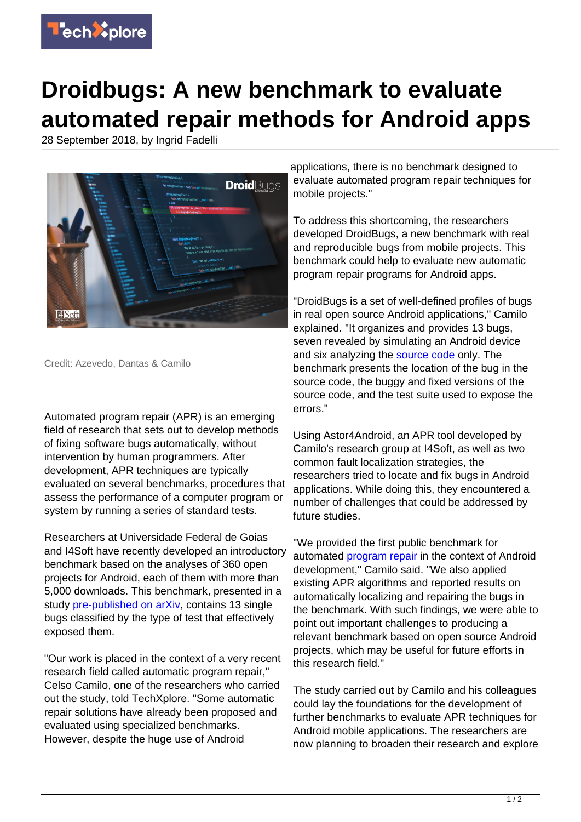

## **Droidbugs: A new benchmark to evaluate automated repair methods for Android apps**

28 September 2018, by Ingrid Fadelli



Credit: Azevedo, Dantas & Camilo

Automated program repair (APR) is an emerging field of research that sets out to develop methods of fixing software bugs automatically, without intervention by human programmers. After development, APR techniques are typically evaluated on several benchmarks, procedures that assess the performance of a computer program or system by running a series of standard tests.

Researchers at Universidade Federal de Goias and I4Soft have recently developed an introductory benchmark based on the analyses of 360 open projects for Android, each of them with more than 5,000 downloads. This benchmark, presented in a study [pre-published on arXiv,](https://arxiv.org/pdf/1809.07353.pdf) contains 13 single bugs classified by the type of test that effectively exposed them.

"Our work is placed in the context of a very recent research field called automatic program repair," Celso Camilo, one of the researchers who carried out the study, told TechXplore. "Some automatic repair solutions have already been proposed and evaluated using specialized benchmarks. However, despite the huge use of Android

applications, there is no benchmark designed to evaluate automated program repair techniques for mobile projects."

To address this shortcoming, the researchers developed DroidBugs, a new benchmark with real and reproducible bugs from mobile projects. This benchmark could help to evaluate new automatic program repair programs for Android apps.

"DroidBugs is a set of well-defined profiles of bugs in real open source Android applications," Camilo explained. "It organizes and provides 13 bugs, seven revealed by simulating an Android device and six analyzing the [source code](https://techxplore.com/tags/source+code/) only. The benchmark presents the location of the bug in the source code, the buggy and fixed versions of the source code, and the test suite used to expose the errors."

Using Astor4Android, an APR tool developed by Camilo's research group at I4Soft, as well as two common fault localization strategies, the researchers tried to locate and fix bugs in Android applications. While doing this, they encountered a number of challenges that could be addressed by future studies.

"We provided the first public benchmark for automated [program](https://techxplore.com/tags/program/) [repair](https://techxplore.com/tags/repair/) in the context of Android development," Camilo said. "We also applied existing APR algorithms and reported results on automatically localizing and repairing the bugs in the benchmark. With such findings, we were able to point out important challenges to producing a relevant benchmark based on open source Android projects, which may be useful for future efforts in this research field."

The study carried out by Camilo and his colleagues could lay the foundations for the development of further benchmarks to evaluate APR techniques for Android mobile applications. The researchers are now planning to broaden their research and explore